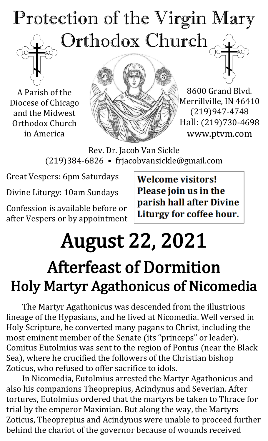## Protection of the Virgin Mary Orthodox Church

A Parish of the Diocese of Chicago and the Midwest Orthodox Church in America



8600 Grand Blvd. Merrillville, IN 46410 (219)947-4748 Hall: (219)730-4698 www.ptvm.com

Rev. Dr. Jacob Van Sickle (219)384-6826 • frjacobvansickle@gmail.com

Great Vespers: 6pm Saturdays

Divine Liturgy: 10am Sundays

Confession is available before or after Vespers or by appointment **Welcome visitors!** Please join us in the parish hall after Divine Liturgy for coffee hour.

## August 22, 2021 Afterfeast of Dormition Holy Martyr Agathonicus of Nicomedia

The Martyr Agathonicus was descended from the illustrious lineage of the Hypasians, and he lived at Nicomedia. Well versed in Holy Scripture, he converted many pagans to Christ, including the most eminent member of the Senate (its "princeps" or leader). Comitus Eutolmius was sent to the region of Pontus (near the Black Sea), where he crucified the followers of the Christian bishop Zoticus, who refused to offer sacrifice to idols.

In Nicomedia, Eutolmius arrested the Martyr Agathonicus and also his companions Theoprepius, Acindynus and Severian. After tortures, Eutolmius ordered that the martyrs be taken to Thrace for trial by the emperor Maximian. But along the way, the Martyrs Zoticus, Theoprepius and Acindynus were unable to proceed further behind the chariot of the governor because of wounds received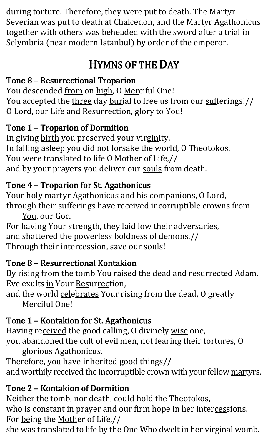during torture. Therefore, they were put to death. The Martyr Severian was put to death at Chalcedon, and the Martyr Agathonicus together with others was beheaded with the sword after a trial in Selymbria (near modern Istanbul) by order of the emperor.

### HYMNS OF THE DAY

#### Tone 8 – Resurrectional Troparion

You descended from on high, O Merciful One! You accepted the three day burial to free us from our sufferings!// O Lord, our Life and Resurrection, glory to You!

#### Tone 1 – Troparion of Dormition

In giving birth you preserved your virginity. In falling asleep you did not forsake the world, O Theotokos. You were translated to life O Mother of Life,// and by your prayers you deliver our souls from death.

#### Tone 4 – Troparion for St. Agathonicus

Your holy martyr Agathonicus and his companions, O Lord, through their sufferings have received incorruptible crowns from

You, our God. For having Your strength, they laid low their adversaries, and shattered the powerless boldness of demons.// Through their intercession, save our souls!

#### Tone 8 – Resurrectional Kontakion

By rising from the tomb You raised the dead and resurrected Adam. Eve exults in Your Resurrection,

and the world celebrates Your rising from the dead, O greatly Merciful One!

#### Tone 1 – Kontakion for St. Agathonicus

Having received the good calling, O divinely wise one, you abandoned the cult of evil men, not fearing their tortures, O glorious Agathonicus.

Therefore, you have inherited good things// and worthily received the incorruptible crown with your fellow martyrs.

#### Tone 2 – Kontakion of Dormition

Neither the tomb, nor death, could hold the Theotokos, who is constant in prayer and our firm hope in her intercessions. For being the Mother of Life,//

she was translated to life by the **One** Who dwelt in her virginal womb.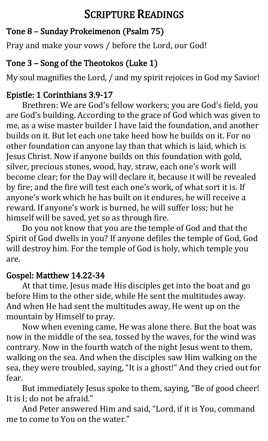#### SCRIPTURE READINGS

#### Tone 8 – Sunday Prokeimenon (Psalm 75)

Pray and make your vows / before the Lord, our God!

#### Tone 3 – Song of the Theotokos (Luke 1)

My soul magnifies the Lord, / and my spirit rejoices in God my Savior!

#### Epistle: 1 Corinthians 3.9-17

Brethren: We are God's fellow workers; you are God's field, you are God's building. According to the grace of God which was given to me, as a wise master builder I have laid the foundation, and another builds on it. But let each one take heed how he builds on it. For no other foundation can anyone lay than that which is laid, which is Jesus Christ. Now if anyone builds on this foundation with gold, silver, precious stones, wood, hay, straw, each one's work will become clear; for the Day will declare it, because it will be revealed by fire; and the fire will test each one's work, of what sort it is. If anyone's work which he has built on it endures, he will receive a reward. If anyone's work is burned, he will suffer loss; but he himself will be saved, yet so as through fire.

Do you not know that you are the temple of God and that the Spirit of God dwells in you? If anyone defiles the temple of God, God will destroy him. For the temple of God is holy, which temple you are.

#### Gospel: Matthew 14.22-34

At that time, Jesus made His disciples get into the boat and go before Him to the other side, while He sent the multitudes away. And when He had sent the multitudes away, He went up on the mountain by Himself to pray.

Now when evening came, He was alone there. But the boat was now in the middle of the sea, tossed by the waves, for the wind was contrary. Now in the fourth watch of the night Jesus went to them, walking on the sea. And when the disciples saw Him walking on the sea, they were troubled, saying, "It is a ghost!" And they cried out for fear.

But immediately Jesus spoke to them, saying, "Be of good cheer! It is I; do not be afraid."

And Peter answered Him and said, "Lord, if it is You, command me to come to You on the water."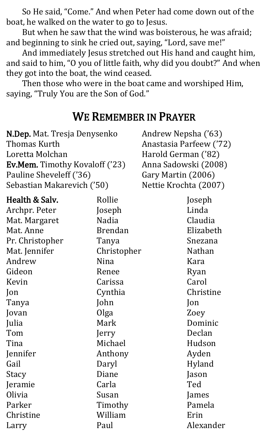So He said, "Come." And when Peter had come down out of the boat, he walked on the water to go to Jesus.

But when he saw that the wind was boisterous, he was afraid; and beginning to sink he cried out, saying, "Lord, save me!"

And immediately Jesus stretched out His hand and caught him, and said to him, "O you of little faith, why did you doubt?" And when they got into the boat, the wind ceased.

Then those who were in the boat came and worshiped Him, saying, "Truly You are the Son of God."

#### WE REMEMBER IN PRAYER

| N.Dep. Mat. Tresja Denysenko          |                | Andrew Nepsha ('63)     |  |
|---------------------------------------|----------------|-------------------------|--|
| Thomas Kurth                          |                | Anastasia Parfeew ('72) |  |
| Loretta Molchan                       |                | Harold German ('82)     |  |
| <b>Ev.Mem.</b> Timothy Kovaloff ('23) |                | Anna Sadowski (2008)    |  |
| Pauline Sheveleff ('36)               |                | Gary Martin (2006)      |  |
| Sebastian Makarevich ('50)            |                | Nettie Krochta (2007)   |  |
| Health & Salv.                        | Rollie         | Joseph                  |  |
| Archpr. Peter                         | Joseph         | Linda                   |  |
| Mat. Margaret                         | Nadia          | Claudia                 |  |
| Mat. Anne                             | <b>Brendan</b> | Elizabeth               |  |
| Pr. Christopher                       | Tanya          | Snezana                 |  |
| Mat. Jennifer                         | Christopher    | <b>Nathan</b>           |  |
| Andrew                                | Nina           | Kara                    |  |
| Gideon                                | Renee          | Ryan                    |  |
| Kevin                                 | Carissa        | Carol                   |  |
| Jon                                   | Cynthia        | Christine               |  |
| Tanya                                 | John           | Jon                     |  |
| Jovan                                 | Olga           | Zoey                    |  |
| Julia                                 | Mark           | Dominic                 |  |
| Tom                                   | Jerry          | Declan                  |  |
| Tina                                  | Michael        | Hudson                  |  |
| Jennifer                              | Anthony        | Ayden                   |  |
| Gail                                  | Daryl          | Hyland                  |  |
| Stacy                                 | Diane          | Jason                   |  |
| Jeramie                               | Carla          | Ted                     |  |
| Olivia                                | Susan          | James                   |  |
| Parker                                | Timothy        | Pamela                  |  |
| Christine                             | William        | Erin                    |  |

Paul

Alexander

Larry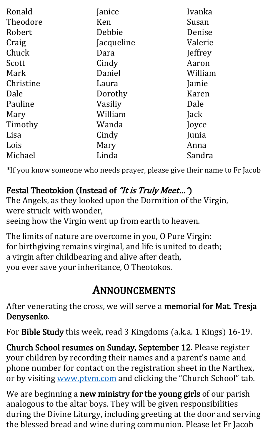| Ronald    | Janice     | Ivanka  |
|-----------|------------|---------|
| Theodore  | Ken        | Susan   |
| Robert    | Debbie     | Denise  |
| Craig     | Jacqueline | Valerie |
| Chuck     | Dara       | Jeffrey |
| Scott     | Cindy      | Aaron   |
| Mark      | Daniel     | William |
| Christine | Laura      | Jamie   |
| Dale      | Dorothy    | Karen   |
| Pauline   | Vasiliy    | Dale    |
| Mary      | William    | Jack    |
| Timothy   | Wanda      | Joyce   |
| Lisa      | Cindy      | Junia   |
| Lois      | Mary       | Anna    |
| Michael   | Linda      | Sandra  |

\*If you know someone who needs prayer, please give their name to Fr Jacob

#### Festal Theotokion (Instead of "It is Truly Meet...")

The Angels, as they looked upon the Dormition of the Virgin, were struck with wonder,

seeing how the Virgin went up from earth to heaven.

The limits of nature are overcome in you, O Pure Virgin: for birthgiving remains virginal, and life is united to death; a virgin after childbearing and alive after death, you ever save your inheritance, O Theotokos.

#### ANNOUNCEMENTS

After venerating the cross, we will serve a memorial for Mat. Tresja Denysenko.

For Bible Study this week, read 3 Kingdoms (a.k.a. 1 Kings) 16-19.

Church School resumes on Sunday, September 12. Please register your children by recording their names and a parent's name and phone number for contact on the registration sheet in the Narthex, or by visiting [www.ptvm.com](http://www.ptvm.com/) and clicking the "Church School" tab.

We are beginning a new ministry for the young girls of our parish analogous to the altar boys. They will be given responsibilities during the Divine Liturgy, including greeting at the door and serving the blessed bread and wine during communion. Please let Fr Jacob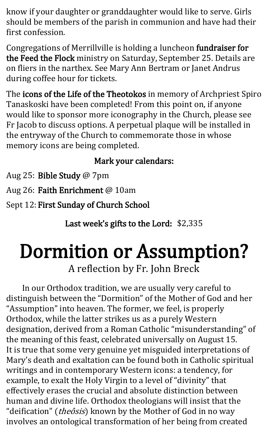know if your daughter or granddaughter would like to serve. Girls should be members of the parish in communion and have had their first confession.

Congregations of Merrillville is holding a luncheon fundraiser for the Feed the Flock ministry on Saturday, September 25. Details are on fliers in the narthex. See Mary Ann Bertram or Janet Andrus during coffee hour for tickets.

The icons of the Life of the Theotokos in memory of Archpriest Spiro Tanaskoski have been completed! From this point on, if anyone would like to sponsor more iconography in the Church, please see Fr Jacob to discuss options. A perpetual plaque will be installed in the entryway of the Church to commemorate those in whose memory icons are being completed.

#### Mark your calendars:

Aug 25: Bible Study @ 7pm

Aug 26: Faith Enrichment @ 10am

Sept 12: First Sunday of Church School

Last week's gifts to the Lord: \$2,335

# Dormition or Assumption?

A reflection by Fr. John Breck

In our Orthodox tradition, we are usually very careful to distinguish between the "Dormition" of the Mother of God and her "Assumption" into heaven. The former, we feel, is properly Orthodox, while the latter strikes us as a purely Western designation, derived from a Roman Catholic "misunderstanding" of the meaning of this feast, celebrated universally on August 15. It is true that some very genuine yet misguided interpretations of Mary's death and exaltation can be found both in Catholic spiritual writings and in contemporary Western icons: a tendency, for example, to exalt the Holy Virgin to a level of "divinity" that effectively erases the crucial and absolute distinction between human and divine life. Orthodox theologians will insist that the "deification" (*theôsis*) known by the Mother of God in no way involves an ontological transformation of her being from created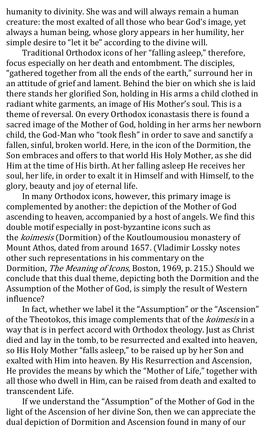humanity to divinity. She was and will always remain a human creature: the most exalted of all those who bear God's image, yet always a human being, whose glory appears in her humility, her simple desire to "let it be" according to the divine will.

Traditional Orthodox icons of her "falling asleep," therefore, focus especially on her death and entombment. The disciples, "gathered together from all the ends of the earth," surround her in an attitude of grief and lament. Behind the bier on which she is laid there stands her glorified Son, holding in His arms a child clothed in radiant white garments, an image of His Mother's soul. This is a theme of reversal. On every Orthodox iconastasis there is found a sacred image of the Mother of God, holding in her arms her newborn child, the God-Man who "took flesh" in order to save and sanctify a fallen, sinful, broken world. Here, in the icon of the Dormition, the Son embraces and offers to that world His Holy Mother, as she did Him at the time of His birth. At her falling asleep He receives her soul, her life, in order to exalt it in Himself and with Himself, to the glory, beauty and joy of eternal life.

In many Orthodox icons, however, this primary image is complemented by another: the depiction of the Mother of God ascending to heaven, accompanied by a host of angels. We find this double motif especially in post-byzantine icons such as the koimesis (Dormition) of the Koutloumousiou monastery of Mount Athos, dated from around 1657. (Vladimir Lossky notes other such representations in his commentary on the Dormition, The Meaning of Icons, Boston, 1969, p. 215.) Should we conclude that this dual theme, depicting both the Dormition and the Assumption of the Mother of God, is simply the result of Western influence?

In fact, whether we label it the "Assumption" or the "Ascension" of the Theotokos, this image complements that of the koimesis in a way that is in perfect accord with Orthodox theology. Just as Christ died and lay in the tomb, to be resurrected and exalted into heaven, so His Holy Mother "falls asleep," to be raised up by her Son and exalted with Him into heaven. By His Resurrection and Ascension, He provides the means by which the "Mother of Life," together with all those who dwell in Him, can be raised from death and exalted to transcendent Life.

If we understand the "Assumption" of the Mother of God in the light of the Ascension of her divine Son, then we can appreciate the dual depiction of Dormition and Ascension found in many of our